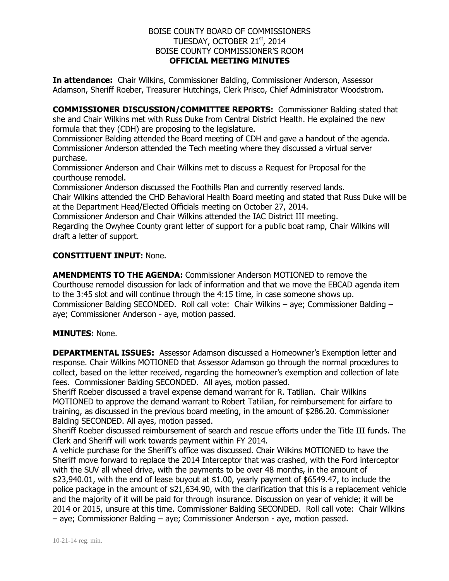## BOISE COUNTY BOARD OF COMMISSIONERS TUESDAY, OCTOBER 21<sup>st</sup>, 2014 BOISE COUNTY COMMISSIONER'S ROOM **OFFICIAL MEETING MINUTES**

**In attendance:** Chair Wilkins, Commissioner Balding, Commissioner Anderson, Assessor Adamson, Sheriff Roeber, Treasurer Hutchings, Clerk Prisco, Chief Administrator Woodstrom.

**COMMISSIONER DISCUSSION/COMMITTEE REPORTS:** Commissioner Balding stated that she and Chair Wilkins met with Russ Duke from Central District Health. He explained the new formula that they (CDH) are proposing to the legislature.

Commissioner Balding attended the Board meeting of CDH and gave a handout of the agenda. Commissioner Anderson attended the Tech meeting where they discussed a virtual server purchase.

Commissioner Anderson and Chair Wilkins met to discuss a Request for Proposal for the courthouse remodel.

Commissioner Anderson discussed the Foothills Plan and currently reserved lands.

Chair Wilkins attended the CHD Behavioral Health Board meeting and stated that Russ Duke will be at the Department Head/Elected Officials meeting on October 27, 2014.

Commissioner Anderson and Chair Wilkins attended the IAC District III meeting. Regarding the Owyhee County grant letter of support for a public boat ramp, Chair Wilkins will draft a letter of support.

# **CONSTITUENT INPUT:** None.

**AMENDMENTS TO THE AGENDA:** Commissioner Anderson MOTIONED to remove the Courthouse remodel discussion for lack of information and that we move the EBCAD agenda item to the 3:45 slot and will continue through the 4:15 time, in case someone shows up. Commissioner Balding SECONDED. Roll call vote: Chair Wilkins – aye; Commissioner Balding – aye; Commissioner Anderson - aye, motion passed.

### **MINUTES:** None.

**DEPARTMENTAL ISSUES:** Assessor Adamson discussed a Homeowner's Exemption letter and response. Chair Wilkins MOTIONED that Assessor Adamson go through the normal procedures to collect, based on the letter received, regarding the homeowner's exemption and collection of late fees. Commissioner Balding SECONDED. All ayes, motion passed.

Sheriff Roeber discussed a travel expense demand warrant for R. Tatilian. Chair Wilkins MOTIONED to approve the demand warrant to Robert Tatilian, for reimbursement for airfare to training, as discussed in the previous board meeting, in the amount of \$286.20. Commissioner Balding SECONDED. All ayes, motion passed.

Sheriff Roeber discussed reimbursement of search and rescue efforts under the Title III funds. The Clerk and Sheriff will work towards payment within FY 2014.

A vehicle purchase for the Sheriff's office was discussed. Chair Wilkins MOTIONED to have the Sheriff move forward to replace the 2014 Interceptor that was crashed, with the Ford interceptor with the SUV all wheel drive, with the payments to be over 48 months, in the amount of \$23,940.01, with the end of lease buyout at \$1.00, yearly payment of \$6549.47, to include the police package in the amount of \$21,634.90, with the clarification that this is a replacement vehicle and the majority of it will be paid for through insurance. Discussion on year of vehicle; it will be 2014 or 2015, unsure at this time. Commissioner Balding SECONDED. Roll call vote: Chair Wilkins – aye; Commissioner Balding – aye; Commissioner Anderson - aye, motion passed.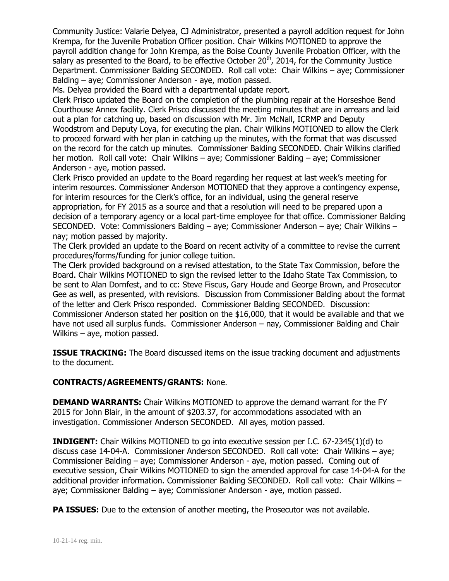Community Justice: Valarie Delyea, CJ Administrator, presented a payroll addition request for John Krempa, for the Juvenile Probation Officer position. Chair Wilkins MOTIONED to approve the payroll addition change for John Krempa, as the Boise County Juvenile Probation Officer, with the salary as presented to the Board, to be effective October  $20<sup>th</sup>$ , 2014, for the Community Justice Department. Commissioner Balding SECONDED. Roll call vote: Chair Wilkins – aye; Commissioner Balding – aye; Commissioner Anderson - aye, motion passed.

Ms. Delyea provided the Board with a departmental update report.

Clerk Prisco updated the Board on the completion of the plumbing repair at the Horseshoe Bend Courthouse Annex facility. Clerk Prisco discussed the meeting minutes that are in arrears and laid out a plan for catching up, based on discussion with Mr. Jim McNall, ICRMP and Deputy Woodstrom and Deputy Loya, for executing the plan. Chair Wilkins MOTIONED to allow the Clerk to proceed forward with her plan in catching up the minutes, with the format that was discussed on the record for the catch up minutes. Commissioner Balding SECONDED. Chair Wilkins clarified her motion. Roll call vote: Chair Wilkins – aye; Commissioner Balding – aye; Commissioner Anderson - aye, motion passed.

Clerk Prisco provided an update to the Board regarding her request at last week's meeting for interim resources. Commissioner Anderson MOTIONED that they approve a contingency expense, for interim resources for the Clerk's office, for an individual, using the general reserve appropriation, for FY 2015 as a source and that a resolution will need to be prepared upon a decision of a temporary agency or a local part-time employee for that office. Commissioner Balding SECONDED. Vote: Commissioners Balding – aye; Commissioner Anderson – aye; Chair Wilkins – nay; motion passed by majority.

The Clerk provided an update to the Board on recent activity of a committee to revise the current procedures/forms/funding for junior college tuition.

The Clerk provided background on a revised attestation, to the State Tax Commission, before the Board. Chair Wilkins MOTIONED to sign the revised letter to the Idaho State Tax Commission, to be sent to Alan Dornfest, and to cc: Steve Fiscus, Gary Houde and George Brown, and Prosecutor Gee as well, as presented, with revisions. Discussion from Commissioner Balding about the format of the letter and Clerk Prisco responded. Commissioner Balding SECONDED. Discussion: Commissioner Anderson stated her position on the \$16,000, that it would be available and that we have not used all surplus funds. Commissioner Anderson – nay, Commissioner Balding and Chair Wilkins – aye, motion passed.

**ISSUE TRACKING:** The Board discussed items on the issue tracking document and adjustments to the document.

# **CONTRACTS/AGREEMENTS/GRANTS:** None.

**DEMAND WARRANTS:** Chair Wilkins MOTIONED to approve the demand warrant for the FY 2015 for John Blair, in the amount of \$203.37, for accommodations associated with an investigation. Commissioner Anderson SECONDED. All ayes, motion passed.

**INDIGENT:** Chair Wilkins MOTIONED to go into executive session per I.C. 67-2345(1)(d) to discuss case 14-04-A. Commissioner Anderson SECONDED. Roll call vote: Chair Wilkins – aye; Commissioner Balding – aye; Commissioner Anderson - aye, motion passed. Coming out of executive session, Chair Wilkins MOTIONED to sign the amended approval for case 14-04-A for the additional provider information. Commissioner Balding SECONDED. Roll call vote: Chair Wilkins – aye; Commissioner Balding – aye; Commissioner Anderson - aye, motion passed.

**PA ISSUES:** Due to the extension of another meeting, the Prosecutor was not available.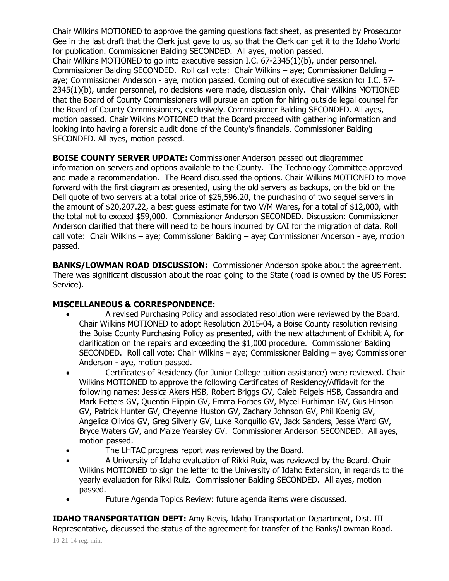Chair Wilkins MOTIONED to approve the gaming questions fact sheet, as presented by Prosecutor Gee in the last draft that the Clerk just gave to us, so that the Clerk can get it to the Idaho World for publication. Commissioner Balding SECONDED. All ayes, motion passed.

Chair Wilkins MOTIONED to go into executive session I.C. 67-2345(1)(b), under personnel. Commissioner Balding SECONDED. Roll call vote: Chair Wilkins – aye; Commissioner Balding – aye; Commissioner Anderson - aye, motion passed. Coming out of executive session for I.C. 67- 2345(1)(b), under personnel, no decisions were made, discussion only. Chair Wilkins MOTIONED that the Board of County Commissioners will pursue an option for hiring outside legal counsel for the Board of County Commissioners, exclusively. Commissioner Balding SECONDED. All ayes, motion passed. Chair Wilkins MOTIONED that the Board proceed with gathering information and looking into having a forensic audit done of the County's financials. Commissioner Balding SECONDED. All ayes, motion passed.

**BOISE COUNTY SERVER UPDATE:** Commissioner Anderson passed out diagrammed information on servers and options available to the County. The Technology Committee approved and made a recommendation. The Board discussed the options. Chair Wilkins MOTIONED to move forward with the first diagram as presented, using the old servers as backups, on the bid on the Dell quote of two servers at a total price of \$26,596.20, the purchasing of two sequel servers in the amount of \$20,207.22, a best guess estimate for two V/M Wares, for a total of \$12,000, with the total not to exceed \$59,000. Commissioner Anderson SECONDED. Discussion: Commissioner Anderson clarified that there will need to be hours incurred by CAI for the migration of data. Roll call vote: Chair Wilkins – aye; Commissioner Balding – aye; Commissioner Anderson - aye, motion passed.

**BANKS/LOWMAN ROAD DISCUSSION:** Commissioner Anderson spoke about the agreement. There was significant discussion about the road going to the State (road is owned by the US Forest Service).

# **MISCELLANEOUS & CORRESPONDENCE:**

- A revised Purchasing Policy and associated resolution were reviewed by the Board. Chair Wilkins MOTIONED to adopt Resolution 2015-04, a Boise County resolution revising the Boise County Purchasing Policy as presented, with the new attachment of Exhibit A, for clarification on the repairs and exceeding the \$1,000 procedure. Commissioner Balding SECONDED. Roll call vote: Chair Wilkins – aye; Commissioner Balding – aye; Commissioner Anderson - aye, motion passed.
- Certificates of Residency (for Junior College tuition assistance) were reviewed. Chair Wilkins MOTIONED to approve the following Certificates of Residency/Affidavit for the following names: Jessica Akers HSB, Robert Briggs GV, Caleb Feigels HSB, Cassandra and Mark Fetters GV, Quentin Flippin GV, Emma Forbes GV, Mycel Furhiman GV, Gus Hinson GV, Patrick Hunter GV, Cheyenne Huston GV, Zachary Johnson GV, Phil Koenig GV, Angelica Olivios GV, Greg Silverly GV, Luke Ronquillo GV, Jack Sanders, Jesse Ward GV, Bryce Waters GV, and Maize Yearsley GV. Commissioner Anderson SECONDED. All ayes, motion passed.
- The LHTAC progress report was reviewed by the Board.
- A University of Idaho evaluation of Rikki Ruiz, was reviewed by the Board. Chair Wilkins MOTIONED to sign the letter to the University of Idaho Extension, in regards to the yearly evaluation for Rikki Ruiz. Commissioner Balding SECONDED. All ayes, motion passed.
- Future Agenda Topics Review: future agenda items were discussed.

**IDAHO TRANSPORTATION DEPT:** Amy Revis, Idaho Transportation Department, Dist. III Representative, discussed the status of the agreement for transfer of the Banks/Lowman Road.